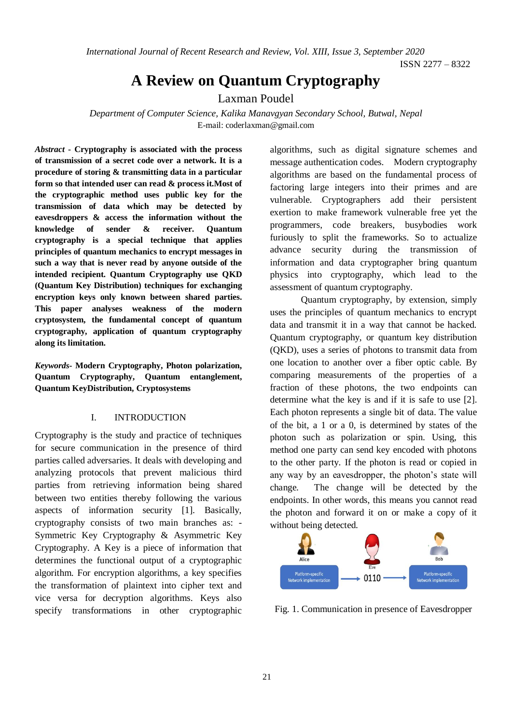*International Journal of Recent Research and Review, Vol. XIII, Issue 3, September 2020*

ISSN 2277 – 8322

# **A Review on Quantum Cryptography**

Laxman Poudel

*Department of Computer Science, Kalika Manavgyan Secondary School, Butwal, Nepal* E-mail: coderlaxman@gmail.com

*Abstract* **- Cryptography is associated with the process of transmission of a secret code over a network. It is a procedure of storing & transmitting data in a particular form so that intended user can read & process it.Most of the cryptographic method uses public key for the transmission of data which may be detected by eavesdroppers & access the information without the knowledge of sender & receiver. Quantum cryptography is a special technique that applies principles of quantum mechanics to encrypt messages in such a way that is never read by anyone outside of the intended recipient. Quantum Cryptography use QKD (Quantum Key Distribution) techniques for exchanging encryption keys only known between shared parties. This paper analyses weakness of the modern cryptosystem, the fundamental concept of quantum cryptography, application of quantum cryptography along its limitation.**

*Keywords***- Modern Cryptography, Photon polarization, Quantum Cryptography, Quantum entanglement, Quantum KeyDistribution, Cryptosystems**

## I. INTRODUCTION

Cryptography is the study and practice of techniques for secure communication in the presence of third parties called adversaries. It deals with developing and analyzing protocols that prevent malicious third parties from retrieving information being shared between two entities thereby following the various aspects of information security [1]. Basically, cryptography consists of two main branches as: - Symmetric Key Cryptography & Asymmetric Key Cryptography. A Key is a piece of information that determines the functional output of a cryptographic algorithm. For encryption algorithms, a key specifies the transformation of plaintext into cipher text and vice versa for decryption algorithms. Keys also specify transformations in other cryptographic

algorithms, such as digital signature schemes and message authentication codes. Modern cryptography algorithms are based on the fundamental process of factoring large integers into their primes and are vulnerable. Cryptographers add their persistent exertion to make framework vulnerable free yet the programmers, code breakers, busybodies work furiously to split the frameworks. So to actualize advance security during the transmission of information and data cryptographer bring quantum physics into cryptography, which lead to the assessment of quantum cryptography.

Quantum cryptography, by extension, simply uses the principles of quantum mechanics to encrypt data and transmit it in a way that cannot be hacked. Quantum cryptography, or quantum key distribution (QKD), uses a series of photons to transmit data from one location to another over a fiber optic cable. By comparing measurements of the properties of a fraction of these photons, the two endpoints can determine what the key is and if it is safe to use [2]. Each photon represents a single bit of data. The value of the bit, a 1 or a 0, is determined by states of the photon such as polarization or spin. Using, this method one party can send key encoded with photons to the other party. If the photon is read or copied in any way by an eavesdropper, the photon's state will change. The change will be detected by the endpoints. In other words, this means you cannot read the photon and forward it on or make a copy of it without being detected.



Fig. 1. Communication in presence of Eavesdropper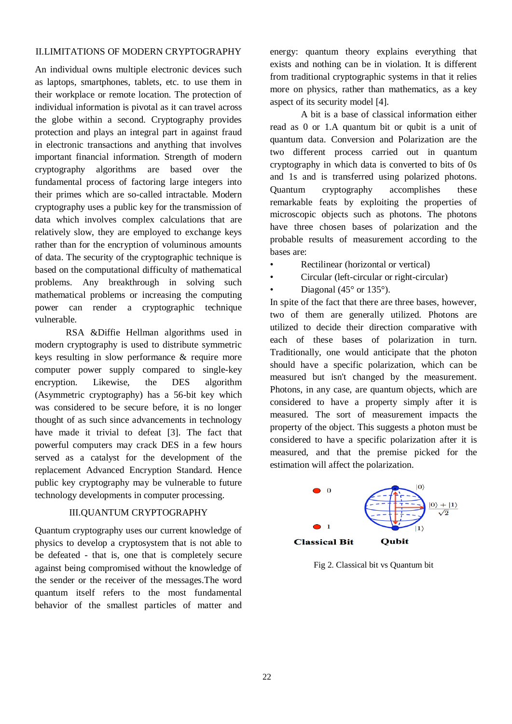# II.LIMITATIONS OF MODERN CRYPTOGRAPHY

An individual owns multiple electronic devices such as laptops, smartphones, tablets, etc. to use them in their workplace or remote location. The protection of individual information is pivotal as it can travel across the globe within a second. Cryptography provides protection and plays an integral part in against fraud in electronic transactions and anything that involves important financial information. Strength of modern cryptography algorithms are based over the fundamental process of factoring large integers into their primes which are so-called intractable. Modern cryptography uses a public key for the transmission of data which involves complex calculations that are relatively slow, they are employed to exchange keys rather than for the encryption of voluminous amounts of data. The security of the cryptographic technique is based on the computational difficulty of mathematical problems. Any breakthrough in solving such mathematical problems or increasing the computing power can render a cryptographic technique vulnerable.

RSA &Diffie Hellman algorithms used in modern cryptography is used to distribute symmetric keys resulting in slow performance & require more computer power supply compared to single-key encryption. Likewise, the DES algorithm (Asymmetric cryptography) has a 56-bit key which was considered to be secure before, it is no longer thought of as such since advancements in technology have made it trivial to defeat [3]. The fact that powerful computers may crack DES in a few hours served as a catalyst for the development of the replacement Advanced Encryption Standard. Hence public key cryptography may be vulnerable to future technology developments in computer processing.

## III.QUANTUM CRYPTOGRAPHY

Quantum cryptography uses our current knowledge of physics to develop a cryptosystem that is not able to be defeated - that is, one that is completely secure against being compromised without the knowledge of the sender or the receiver of the messages.The word quantum itself refers to the most fundamental behavior of the smallest particles of matter and

energy: quantum theory explains everything that exists and nothing can be in violation. It is different from traditional cryptographic systems in that it relies more on physics, rather than mathematics, as a key aspect of its security model [4].

A bit is a base of classical information either read as 0 or 1.A quantum bit or qubit is a unit of quantum data. Conversion and Polarization are the two different process carried out in quantum cryptography in which data is converted to bits of 0s and 1s and is transferred using polarized photons. Quantum cryptography accomplishes these remarkable feats by exploiting the properties of microscopic objects such as photons. The photons have three chosen bases of polarization and the probable results of measurement according to the bases are:

- Rectilinear (horizontal or vertical)
- Circular (left-circular or right-circular)
- Diagonal (45 $\degree$  or 135 $\degree$ ).

In spite of the fact that there are three bases, however, two of them are generally utilized. Photons are utilized to decide their direction comparative with each of these bases of polarization in turn. Traditionally, one would anticipate that the photon should have a specific polarization, which can be measured but isn't changed by the measurement. Photons, in any case, are quantum objects, which are considered to have a property simply after it is measured. The sort of measurement impacts the property of the object. This suggests a photon must be considered to have a specific polarization after it is measured, and that the premise picked for the estimation will affect the polarization.



Fig 2. Classical bit vs Quantum bit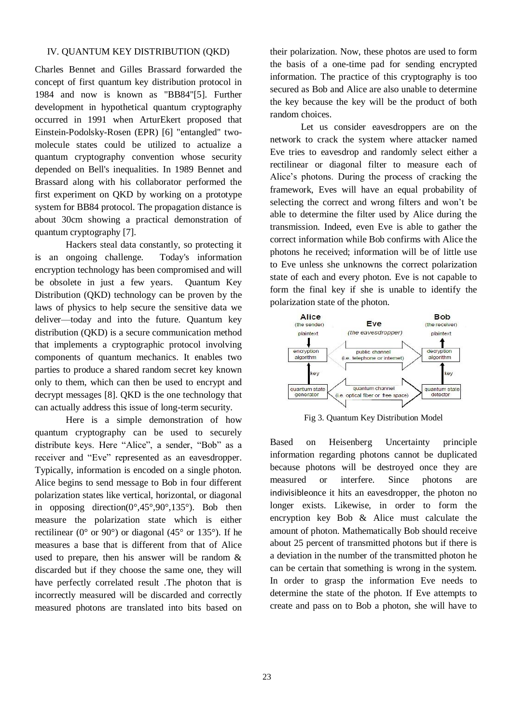## IV. QUANTUM KEY DISTRIBUTION (QKD)

Charles Bennet and Gilles Brassard forwarded the concept of first quantum key distribution protocol in 1984 and now is known as "BB84"[5]. Further development in hypothetical quantum cryptography occurred in 1991 when ArturEkert proposed that Einstein-Podolsky-Rosen (EPR) [6] "entangled" twomolecule states could be utilized to actualize a quantum cryptography convention whose security depended on Bell's inequalities. In 1989 Bennet and Brassard along with his collaborator performed the first experiment on QKD by working on a prototype system for BB84 protocol. The propagation distance is about 30cm showing a practical demonstration of quantum cryptography [7].

Hackers steal data constantly, so protecting it is an ongoing challenge. Today's information encryption technology has been compromised and will be obsolete in just a few years. Quantum Key Distribution (QKD) technology can be proven by the laws of physics to help secure the sensitive data we deliver—today and into the future. Quantum key distribution (QKD) is a secure communication method that implements a cryptographic protocol involving components of quantum mechanics. It enables two parties to produce a shared random secret key known only to them, which can then be used to encrypt and decrypt messages [8]. QKD is the one technology that can actually address this issue of long-term security.

Here is a simple demonstration of how quantum cryptography can be used to securely distribute keys. Here "Alice", a sender, "Bob" as a receiver and "Eve" represented as an eavesdropper. Typically, information is encoded on a single photon. Alice begins to send message to Bob in four different polarization states like vertical, horizontal, or diagonal in opposing direction( $0^\circ,45^\circ,90^\circ,135^\circ$ ). Bob then measure the polarization state which is either rectilinear ( $0^{\circ}$  or  $90^{\circ}$ ) or diagonal ( $45^{\circ}$  or  $135^{\circ}$ ). If he measures a base that is different from that of Alice used to prepare, then his answer will be random  $\&$ discarded but if they choose the same one, they will have perfectly correlated result .The photon that is incorrectly measured will be discarded and correctly measured photons are translated into bits based on

their polarization. Now, these photos are used to form the basis of a one-time pad for sending encrypted information. The practice of this cryptography is too secured as Bob and Alice are also unable to determine the key because the key will be the product of both random choices.

Let us consider eavesdroppers are on the network to crack the system where attacker named Eve tries to eavesdrop and randomly select either a rectilinear or diagonal filter to measure each of Alice's photons. During the process of cracking the framework, Eves will have an equal probability of selecting the correct and wrong filters and won't be able to determine the filter used by Alice during the transmission. Indeed, even Eve is able to gather the correct information while Bob confirms with Alice the photons he received; information will be of little use to Eve unless she unknowns the correct polarization state of each and every photon. Eve is not capable to form the final key if she is unable to identify the polarization state of the photon.



Fig 3. Quantum Key Distribution Model

Based on Heisenberg Uncertainty principle information regarding photons cannot be duplicated because photons will be destroyed once they are measured or interfere. Since photons are indivisibleonce it hits an eavesdropper, the photon no longer exists. Likewise, in order to form the encryption key Bob & Alice must calculate the amount of photon. Mathematically Bob should receive about 25 percent of transmitted photons but if there is a deviation in the number of the transmitted photon he can be certain that something is wrong in the system. In order to grasp the information Eve needs to determine the state of the photon. If Eve attempts to create and pass on to Bob a photon, she will have to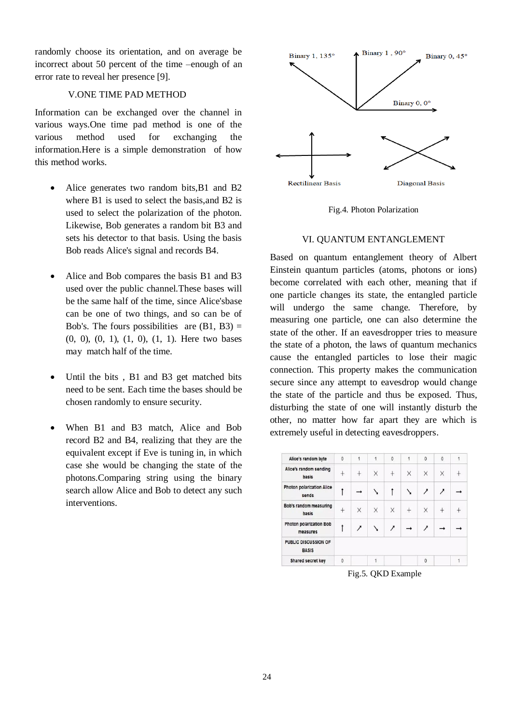randomly choose its orientation, and on average be incorrect about 50 percent of the time –enough of an error rate to reveal her presence [9].

#### V.ONE TIME PAD METHOD

Information can be exchanged over the channel in various ways.One time pad method is one of the various method used for exchanging the information.Here is a simple demonstration of how this method works.

- Alice generates two random bits, B1 and B2 where B1 is used to select the basis,and B2 is used to select the polarization of the photon. Likewise, Bob generates a random bit B3 and sets his detector to that basis. Using the basis Bob reads Alice's signal and records B4.
- Alice and Bob compares the basis B1 and B3 used over the public channel.These bases will be the same half of the time, since Alice'sbase can be one of two things, and so can be of Bob's. The fours possibilities are  $(B1, B3) =$ (0, 0), (0, 1), (1, 0), (1, 1). Here two bases may match half of the time.
- Until the bits, B1 and B3 get matched bits need to be sent. Each time the bases should be chosen randomly to ensure security.
- When B1 and B3 match, Alice and Bob record B2 and B4, realizing that they are the equivalent except if Eve is tuning in, in which case she would be changing the state of the photons.Comparing string using the binary search allow Alice and Bob to detect any such interventions.



Fig.4. Photon Polarization

#### VI. QUANTUM ENTANGLEMENT

Based on quantum entanglement theory of Albert Einstein quantum particles (atoms, photons or ions) become correlated with each other, meaning that if one particle changes its state, the entangled particle will undergo the same change. Therefore, by measuring one particle, one can also determine the state of the other. If an eavesdropper tries to measure the state of a photon, the laws of quantum mechanics cause the entangled particles to lose their magic connection. This property makes the communication secure since any attempt to eavesdrop would change the state of the particle and thus be exposed. Thus, disturbing the state of one will instantly disturb the other, no matter how far apart they are which is extremely useful in detecting eavesdroppers.

| Alice's random byte                         | $\mathbf{0}$ | 1 | 1 | $\pmb{0}$ | 1   | $\mathbf{0}$ | $\pmb{0}$ | 1 |
|---------------------------------------------|--------------|---|---|-----------|-----|--------------|-----------|---|
| Alice's random sending<br>basis             | ÷            |   | X | $^{+}$    | X   | X            | X         |   |
| <b>Photon polarization Alice</b><br>sends   |              |   |   |           |     | ↗            | ↗         |   |
| Bob's random measuring<br>basis             | $+$          | X | X | X         | $+$ | X            | $+$       |   |
| <b>Photon polarization Bob</b><br>measures  |              | 1 |   | 1         |     | ,            |           |   |
| <b>PUBLIC DISCUSSION OF</b><br><b>BASIS</b> |              |   |   |           |     |              |           |   |
| Shared secret key                           | $\mathbf{0}$ |   | 1 |           |     | $\theta$     |           |   |

Fig.5. QKD Example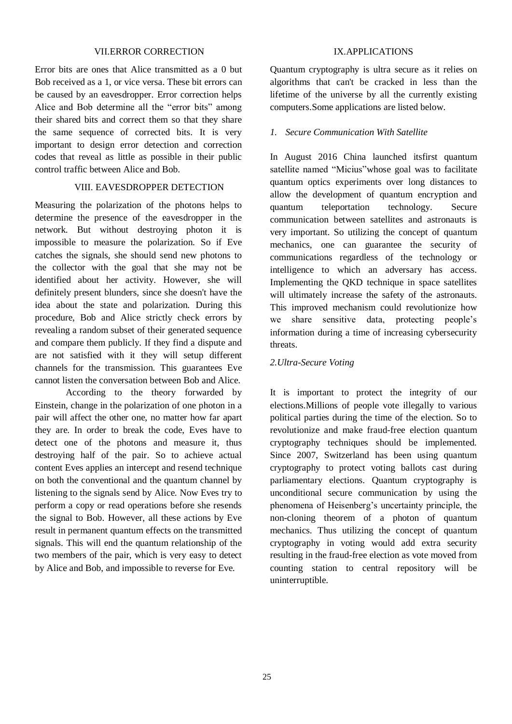## VII.ERROR CORRECTION

Error bits are ones that Alice transmitted as a 0 but Bob received as a 1, or vice versa. These bit errors can be caused by an eavesdropper. Error correction helps Alice and Bob determine all the "error bits" among their shared bits and correct them so that they share the same sequence of corrected bits. It is very important to design error detection and correction codes that reveal as little as possible in their public control traffic between Alice and Bob.

## VIII. EAVESDROPPER DETECTION

Measuring the polarization of the photons helps to determine the presence of the eavesdropper in the network. But without destroying photon it is impossible to measure the polarization. So if Eve catches the signals, she should send new photons to the collector with the goal that she may not be identified about her activity. However, she will definitely present blunders, since she doesn't have the idea about the state and polarization. During this procedure, Bob and Alice strictly check errors by revealing a random subset of their generated sequence and compare them publicly. If they find a dispute and are not satisfied with it they will setup different channels for the transmission. This guarantees Eve cannot listen the conversation between Bob and Alice.

According to the theory forwarded by Einstein, change in the polarization of one photon in a pair will affect the other one, no matter how far apart they are. In order to break the code, Eves have to detect one of the photons and measure it, thus destroying half of the pair. So to achieve actual content Eves applies an intercept and resend technique on both the conventional and the quantum channel by listening to the signals send by Alice. Now Eves try to perform a copy or read operations before she resends the signal to Bob. However, all these actions by Eve result in permanent quantum effects on the transmitted signals. This will end the quantum relationship of the two members of the pair, which is very easy to detect by Alice and Bob, and impossible to reverse for Eve.

# IX.APPLICATIONS

Quantum cryptography is ultra secure as it relies on algorithms that can't be cracked in less than the lifetime of the universe by all the currently existing computers.Some applications are listed below.

### *1. Secure Communication With Satellite*

In August 2016 China launched itsfirst quantum satellite named "Micius"whose goal was to facilitate quantum optics experiments over long distances to allow the development of quantum encryption and quantum teleportation technology. Secure communication between satellites and astronauts is very important. So utilizing the concept of quantum mechanics, one can guarantee the security of communications regardless of the technology or intelligence to which an adversary has access. Implementing the QKD technique in space satellites will ultimately increase the safety of the astronauts. This improved mechanism could revolutionize how we share sensitive data, protecting people's information during a time of increasing cybersecurity threats.

## *2.Ultra-Secure Voting*

It is important to protect the integrity of our elections.Millions of people vote illegally to various political parties during the time of the election. So to revolutionize and make fraud-free election quantum cryptography techniques should be implemented. Since 2007, Switzerland has been using quantum cryptography to protect voting ballots cast during parliamentary elections. Quantum cryptography is unconditional secure communication by using the phenomena of Heisenberg's uncertainty principle, the non-cloning theorem of a photon of quantum mechanics. Thus utilizing the concept of quantum cryptography in voting would add extra security resulting in the fraud-free election as vote moved from counting station to central repository will be uninterruptible.